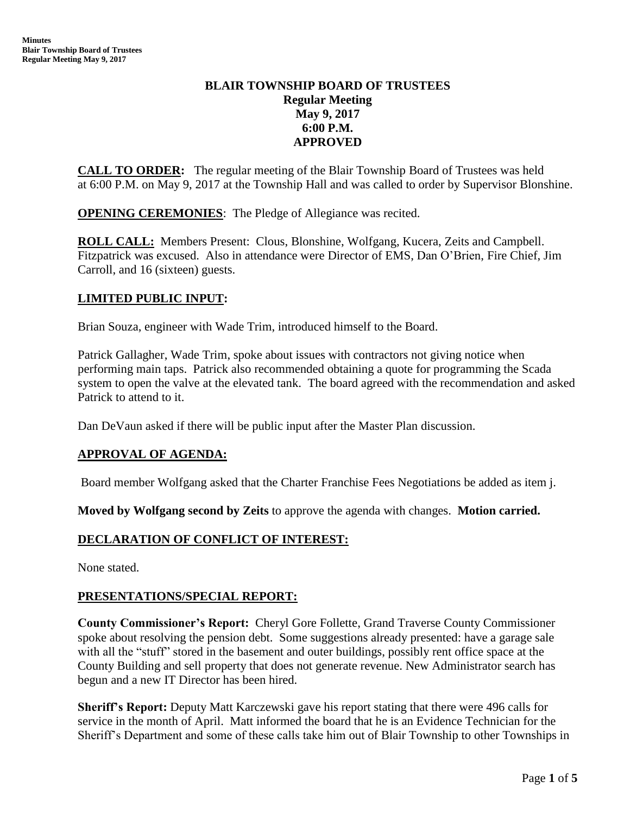# **BLAIR TOWNSHIP BOARD OF TRUSTEES Regular Meeting May 9, 2017 6:00 P.M. APPROVED**

**CALL TO ORDER:** The regular meeting of the Blair Township Board of Trustees was held at 6:00 P.M. on May 9, 2017 at the Township Hall and was called to order by Supervisor Blonshine.

**OPENING CEREMONIES**: The Pledge of Allegiance was recited.

**ROLL CALL:** Members Present: Clous, Blonshine, Wolfgang, Kucera, Zeits and Campbell. Fitzpatrick was excused. Also in attendance were Director of EMS, Dan O'Brien, Fire Chief, Jim Carroll, and 16 (sixteen) guests.

# **LIMITED PUBLIC INPUT:**

Brian Souza, engineer with Wade Trim, introduced himself to the Board.

Patrick Gallagher, Wade Trim, spoke about issues with contractors not giving notice when performing main taps. Patrick also recommended obtaining a quote for programming the Scada system to open the valve at the elevated tank. The board agreed with the recommendation and asked Patrick to attend to it.

Dan DeVaun asked if there will be public input after the Master Plan discussion.

### **APPROVAL OF AGENDA:**

Board member Wolfgang asked that the Charter Franchise Fees Negotiations be added as item j.

**Moved by Wolfgang second by Zeits** to approve the agenda with changes. **Motion carried.**

### **DECLARATION OF CONFLICT OF INTEREST:**

None stated.

### **PRESENTATIONS/SPECIAL REPORT:**

**County Commissioner's Report:** Cheryl Gore Follette, Grand Traverse County Commissioner spoke about resolving the pension debt. Some suggestions already presented: have a garage sale with all the "stuff" stored in the basement and outer buildings, possibly rent office space at the County Building and sell property that does not generate revenue. New Administrator search has begun and a new IT Director has been hired.

**Sheriff's Report:** Deputy Matt Karczewski gave his report stating that there were 496 calls for service in the month of April. Matt informed the board that he is an Evidence Technician for the Sheriff's Department and some of these calls take him out of Blair Township to other Townships in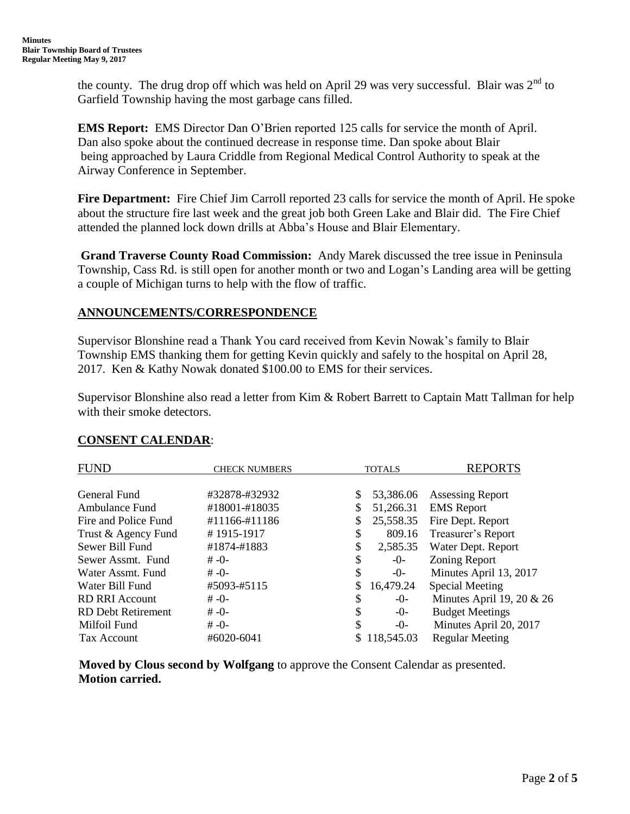the county. The drug drop off which was held on April 29 was very successful. Blair was  $2<sup>nd</sup>$  to Garfield Township having the most garbage cans filled.

**EMS Report:** EMS Director Dan O'Brien reported 125 calls for service the month of April. Dan also spoke about the continued decrease in response time. Dan spoke about Blair being approached by Laura Criddle from Regional Medical Control Authority to speak at the Airway Conference in September.

**Fire Department:** Fire Chief Jim Carroll reported 23 calls for service the month of April. He spoke about the structure fire last week and the great job both Green Lake and Blair did. The Fire Chief attended the planned lock down drills at Abba's House and Blair Elementary.

**Grand Traverse County Road Commission:** Andy Marek discussed the tree issue in Peninsula Township, Cass Rd. is still open for another month or two and Logan's Landing area will be getting a couple of Michigan turns to help with the flow of traffic.

# **ANNOUNCEMENTS/CORRESPONDENCE**

Supervisor Blonshine read a Thank You card received from Kevin Nowak's family to Blair Township EMS thanking them for getting Kevin quickly and safely to the hospital on April 28, 2017. Ken & Kathy Nowak donated \$100.00 to EMS for their services.

Supervisor Blonshine also read a letter from Kim & Robert Barrett to Captain Matt Tallman for help with their smoke detectors.

### **CONSENT CALENDAR**:

| <b>FUND</b>               | <b>CHECK NUMBERS</b> |    | <b>TOTALS</b> | <b>REPORTS</b>              |
|---------------------------|----------------------|----|---------------|-----------------------------|
|                           |                      |    |               |                             |
| General Fund              | #32878-#32932        | \$ | 53,386.06     | <b>Assessing Report</b>     |
| Ambulance Fund            | #18001-#18035        |    | 51,266.31     | <b>EMS</b> Report           |
| Fire and Police Fund      | #11166-#11186        | \$ | 25,558.35     | Fire Dept. Report           |
| Trust & Agency Fund       | #1915-1917           | \$ | 809.16        | Treasurer's Report          |
| Sewer Bill Fund           | #1874-#1883          | \$ | 2,585.35      | Water Dept. Report          |
| Sewer Assmt. Fund         | $# -0-$              | \$ | -0-           | Zoning Report               |
| Water Assmt, Fund         | $# -0-$              | \$ | -0-           | Minutes April 13, 2017      |
| Water Bill Fund           | #5093-#5115          |    | 16,479.24     | <b>Special Meeting</b>      |
| <b>RD RRI Account</b>     | $# -0-$              | \$ | $-()$         | Minutes April 19, 20 $& 26$ |
| <b>RD</b> Debt Retirement | $# -0-$              | \$ | $-0-$         | <b>Budget Meetings</b>      |
| Milfoil Fund              | $# -0-$              | S  | $-()$ -       | Minutes April 20, 2017      |
| Tax Account               | $\#6020 - 6041$      |    | 118,545.03    | <b>Regular Meeting</b>      |

 **Moved by Clous second by Wolfgang** to approve the Consent Calendar as presented. **Motion carried.**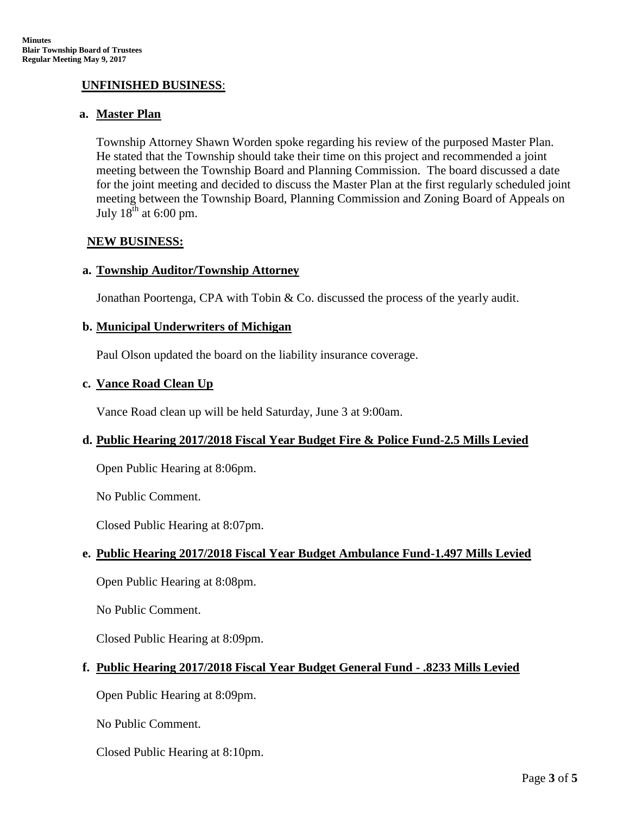# **UNFINISHED BUSINESS**:

### **a. Master Plan**

Township Attorney Shawn Worden spoke regarding his review of the purposed Master Plan. He stated that the Township should take their time on this project and recommended a joint meeting between the Township Board and Planning Commission. The board discussed a date for the joint meeting and decided to discuss the Master Plan at the first regularly scheduled joint meeting between the Township Board, Planning Commission and Zoning Board of Appeals on July  $18^{th}$  at 6:00 pm.

### **NEW BUSINESS:**

#### **a. Township Auditor/Township Attorney**

Jonathan Poortenga, CPA with Tobin & Co. discussed the process of the yearly audit.

#### **b. Municipal Underwriters of Michigan**

Paul Olson updated the board on the liability insurance coverage.

#### **c. Vance Road Clean Up**

Vance Road clean up will be held Saturday, June 3 at 9:00am.

### **d. Public Hearing 2017/2018 Fiscal Year Budget Fire & Police Fund-2.5 Mills Levied**

Open Public Hearing at 8:06pm.

No Public Comment.

Closed Public Hearing at 8:07pm.

### **e. Public Hearing 2017/2018 Fiscal Year Budget Ambulance Fund-1.497 Mills Levied**

Open Public Hearing at 8:08pm.

No Public Comment.

Closed Public Hearing at 8:09pm.

### **f. Public Hearing 2017/2018 Fiscal Year Budget General Fund - .8233 Mills Levied**

Open Public Hearing at 8:09pm.

No Public Comment.

Closed Public Hearing at 8:10pm.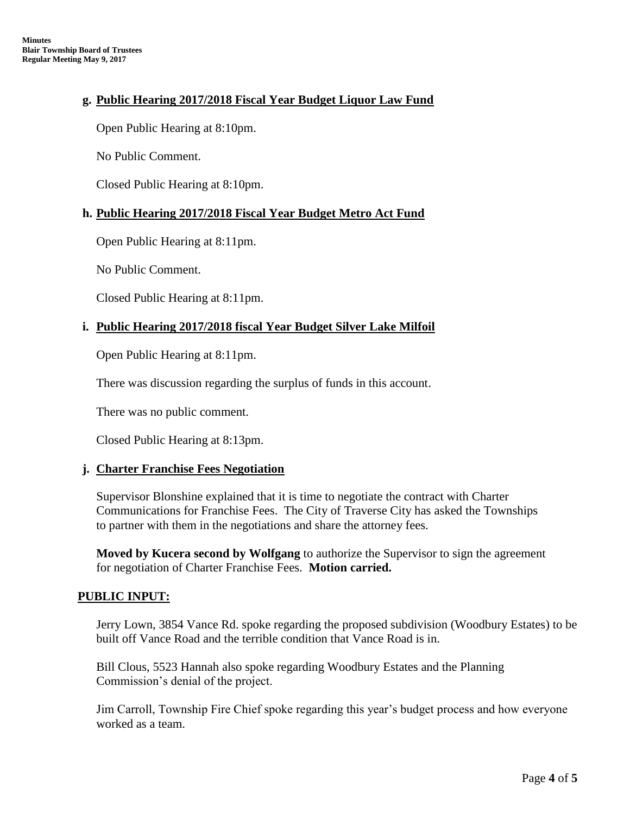# **g. Public Hearing 2017/2018 Fiscal Year Budget Liquor Law Fund**

Open Public Hearing at 8:10pm.

No Public Comment.

Closed Public Hearing at 8:10pm.

#### **h. Public Hearing 2017/2018 Fiscal Year Budget Metro Act Fund**

Open Public Hearing at 8:11pm.

No Public Comment.

Closed Public Hearing at 8:11pm.

### **i. Public Hearing 2017/2018 fiscal Year Budget Silver Lake Milfoil**

Open Public Hearing at 8:11pm.

There was discussion regarding the surplus of funds in this account.

There was no public comment.

Closed Public Hearing at 8:13pm.

#### **j. Charter Franchise Fees Negotiation**

Supervisor Blonshine explained that it is time to negotiate the contract with Charter Communications for Franchise Fees. The City of Traverse City has asked the Townships to partner with them in the negotiations and share the attorney fees.

**Moved by Kucera second by Wolfgang** to authorize the Supervisor to sign the agreement for negotiation of Charter Franchise Fees. **Motion carried.**

### **PUBLIC INPUT:**

 Jerry Lown, 3854 Vance Rd. spoke regarding the proposed subdivision (Woodbury Estates) to be built off Vance Road and the terrible condition that Vance Road is in.

Bill Clous, 5523 Hannah also spoke regarding Woodbury Estates and the Planning Commission's denial of the project.

Jim Carroll, Township Fire Chief spoke regarding this year's budget process and how everyone worked as a team.